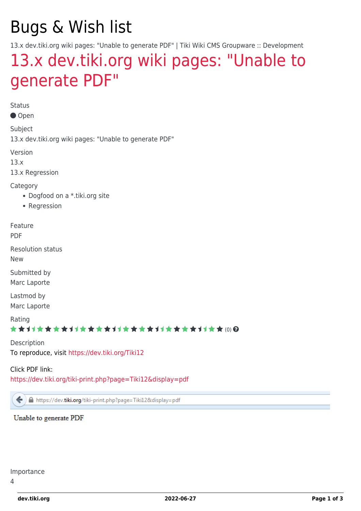# Bugs & Wish list

13.x dev.tiki.org wiki pages: "Unable to generate PDF" | Tiki Wiki CMS Groupware :: Development

## [13.x dev.tiki.org wiki pages: "Unable to](https://dev.tiki.org/item5325-13-x-dev-tiki-org-wiki-pages-Unable-to-generate-PDF) [generate PDF"](https://dev.tiki.org/item5325-13-x-dev-tiki-org-wiki-pages-Unable-to-generate-PDF)

Status

● Open

Subject

13.x dev.tiki.org wiki pages: "Unable to generate PDF"

Version

13.x

13.x Regression

Category

- Dogfood on a \*.tiki.org site
- Regression

Feature PDF

Resolution status

New

Submitted by Marc Laporte

Lastmod by Marc Laporte

Rating

←

#### \*\*\*\*\*\*\*\*\*\*\*\*\*\*\*\*\*\*\*\*\*\*\*\*\*\*\*\*\*\*

Description To reproduce, visit <https://dev.tiki.org/Tiki12>

Click PDF link:

<https://dev.tiki.org/tiki-print.php?page=Tiki12&display=pdf>

A https://dev.tiki.org/tiki-print.php?page=Tiki12&display=pdf

Unable to generate PDF

Importance

4